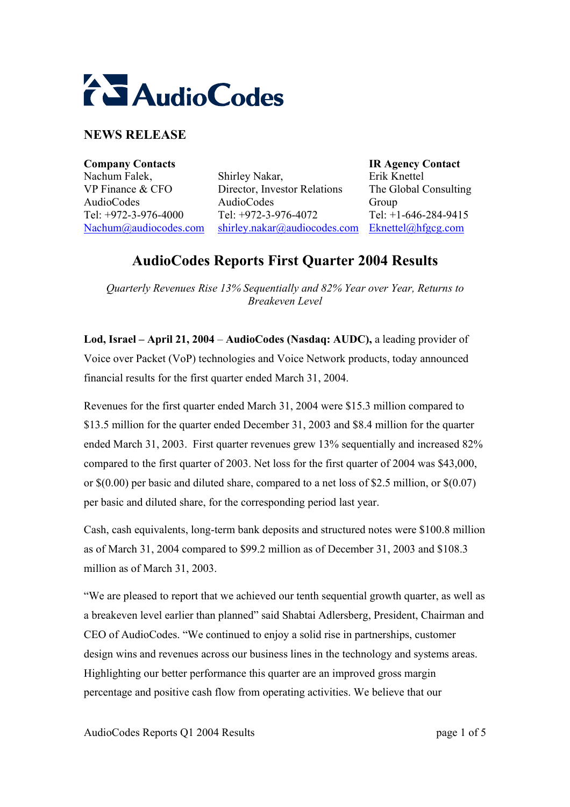

# **NEWS RELEASE**

**Company Contacts IR Agency Contact**  Nachum Falek, VP Finance & CFO AudioCodes Tel: +972-3-976-4000 Nachum@audiocodes.com

Shirley Nakar, Director, Investor Relations AudioCodes Tel: +972-3-976-4072 shirley.nakar@audiocodes.com Eknettel@hfgcg.com

Erik Knettel The Global Consulting Group Tel: +1-646-284-9415

# **AudioCodes Reports First Quarter 2004 Results**

*Quarterly Revenues Rise 13% Sequentially and 82% Year over Year, Returns to Breakeven Level* 

**Lod, Israel – April 21, 2004** – **AudioCodes (Nasdaq: AUDC),** a leading provider of Voice over Packet (VoP) technologies and Voice Network products, today announced financial results for the first quarter ended March 31, 2004.

Revenues for the first quarter ended March 31, 2004 were \$15.3 million compared to \$13.5 million for the quarter ended December 31, 2003 and \$8.4 million for the quarter ended March 31, 2003. First quarter revenues grew 13% sequentially and increased 82% compared to the first quarter of 2003. Net loss for the first quarter of 2004 was \$43,000, or  $\S(0.00)$  per basic and diluted share, compared to a net loss of \$2.5 million, or  $\S(0.07)$ per basic and diluted share, for the corresponding period last year.

Cash, cash equivalents, long-term bank deposits and structured notes were \$100.8 million as of March 31, 2004 compared to \$99.2 million as of December 31, 2003 and \$108.3 million as of March 31, 2003.

"We are pleased to report that we achieved our tenth sequential growth quarter, as well as a breakeven level earlier than planned" said Shabtai Adlersberg, President, Chairman and CEO of AudioCodes. "We continued to enjoy a solid rise in partnerships, customer design wins and revenues across our business lines in the technology and systems areas. Highlighting our better performance this quarter are an improved gross margin percentage and positive cash flow from operating activities. We believe that our

AudioCodes Reports Q1 2004 Results page 1 of 5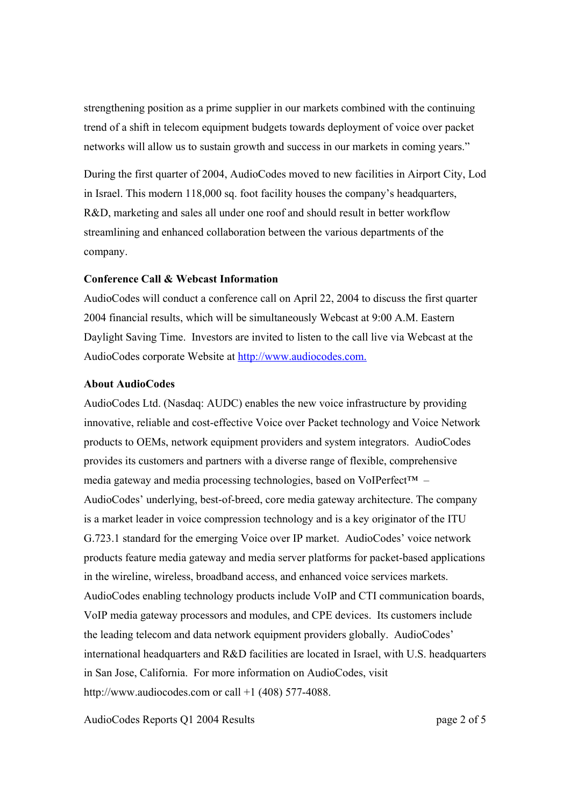strengthening position as a prime supplier in our markets combined with the continuing trend of a shift in telecom equipment budgets towards deployment of voice over packet networks will allow us to sustain growth and success in our markets in coming years."

During the first quarter of 2004, AudioCodes moved to new facilities in Airport City, Lod in Israel. This modern 118,000 sq. foot facility houses the company's headquarters, R&D, marketing and sales all under one roof and should result in better workflow streamlining and enhanced collaboration between the various departments of the company.

### **Conference Call & Webcast Information**

AudioCodes will conduct a conference call on April 22, 2004 to discuss the first quarter 2004 financial results, which will be simultaneously Webcast at 9:00 A.M. Eastern Daylight Saving Time. Investors are invited to listen to the call live via Webcast at the AudioCodes corporate Website at http://www.audiocodes.com.

#### **About AudioCodes**

AudioCodes Ltd. (Nasdaq: AUDC) enables the new voice infrastructure by providing innovative, reliable and cost-effective Voice over Packet technology and Voice Network products to OEMs, network equipment providers and system integrators. AudioCodes provides its customers and partners with a diverse range of flexible, comprehensive media gateway and media processing technologies, based on VoIPerfect™ – AudioCodes' underlying, best-of-breed, core media gateway architecture. The company is a market leader in voice compression technology and is a key originator of the ITU G.723.1 standard for the emerging Voice over IP market. AudioCodes' voice network products feature media gateway and media server platforms for packet-based applications in the wireline, wireless, broadband access, and enhanced voice services markets. AudioCodes enabling technology products include VoIP and CTI communication boards, VoIP media gateway processors and modules, and CPE devices. Its customers include the leading telecom and data network equipment providers globally. AudioCodes' international headquarters and R&D facilities are located in Israel, with U.S. headquarters in San Jose, California. For more information on AudioCodes, visit http://www.audiocodes.com or call +1 (408) 577-4088.

AudioCodes Reports O1 2004 Results **page 2 of 5** and page 2 of 5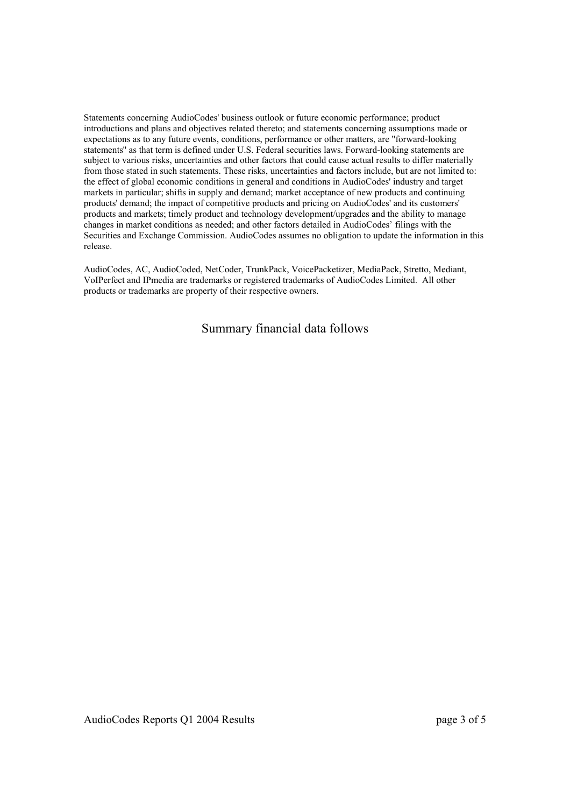Statements concerning AudioCodes' business outlook or future economic performance; product introductions and plans and objectives related thereto; and statements concerning assumptions made or expectations as to any future events, conditions, performance or other matters, are "forward-looking statements'' as that term is defined under U.S. Federal securities laws. Forward-looking statements are subject to various risks, uncertainties and other factors that could cause actual results to differ materially from those stated in such statements. These risks, uncertainties and factors include, but are not limited to: the effect of global economic conditions in general and conditions in AudioCodes' industry and target markets in particular; shifts in supply and demand; market acceptance of new products and continuing products' demand; the impact of competitive products and pricing on AudioCodes' and its customers' products and markets; timely product and technology development/upgrades and the ability to manage changes in market conditions as needed; and other factors detailed in AudioCodes' filings with the Securities and Exchange Commission. AudioCodes assumes no obligation to update the information in this release.

AudioCodes, AC, AudioCoded, NetCoder, TrunkPack, VoicePacketizer, MediaPack, Stretto, Mediant, VoIPerfect and IPmedia are trademarks or registered trademarks of AudioCodes Limited. All other products or trademarks are property of their respective owners.

### Summary financial data follows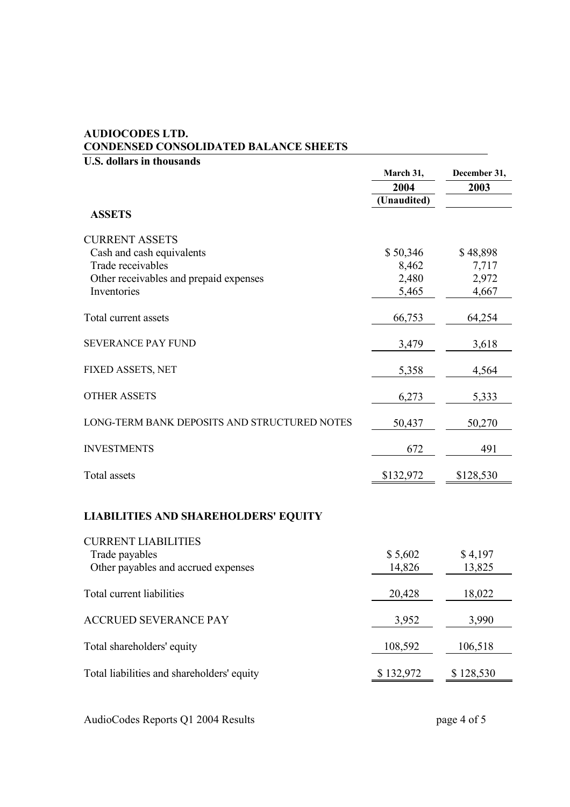## **AUDIOCODES LTD. CONDENSED CONSOLIDATED BALANCE SHEETS**

| <b>U.S. dollars in thousands</b>             | December 31,      |           |
|----------------------------------------------|-------------------|-----------|
|                                              | March 31,<br>2004 | 2003      |
|                                              | (Unaudited)       |           |
| <b>ASSETS</b>                                |                   |           |
| <b>CURRENT ASSETS</b>                        |                   |           |
| Cash and cash equivalents                    | \$50,346          | \$48,898  |
| Trade receivables                            | 8,462             | 7,717     |
| Other receivables and prepaid expenses       | 2,480             | 2,972     |
| Inventories                                  | 5,465             | 4,667     |
| Total current assets                         | 66,753            | 64,254    |
| <b>SEVERANCE PAY FUND</b>                    | 3,479             | 3,618     |
| FIXED ASSETS, NET                            | 5,358             | 4,564     |
| <b>OTHER ASSETS</b>                          | 6,273             | 5,333     |
| LONG-TERM BANK DEPOSITS AND STRUCTURED NOTES | 50,437            | 50,270    |
| <b>INVESTMENTS</b>                           | 672               | 491       |
| <b>Total assets</b>                          | \$132,972         | \$128,530 |
| <b>LIABILITIES AND SHAREHOLDERS' EQUITY</b>  |                   |           |
| <b>CURRENT LIABILITIES</b>                   |                   |           |
| Trade payables                               | \$5,602           | \$4,197   |
| Other payables and accrued expenses          | 14,826            | 13,825    |
| Total current liabilities                    | 20,428            | 18,022    |
| <b>ACCRUED SEVERANCE PAY</b>                 | 3,952             | 3,990     |
| Total shareholders' equity                   | 108,592           | 106,518   |
| Total liabilities and shareholders' equity   | \$132,972         | \$128,530 |
|                                              |                   |           |

AudioCodes Reports Q1 2004 Results page 4 of 5